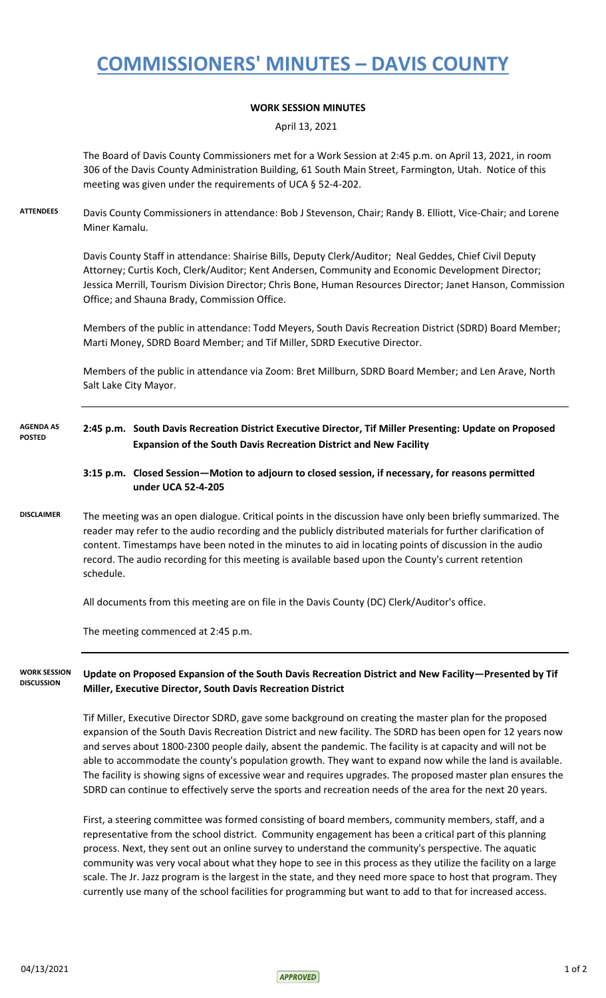# **COMMISSIONERS' MINUTES – DAVIS COUNTY**

## **WORK SESSION MINUTES**

April 13, 2021

The Board of Davis County Commissioners met for a Work Session at 2:45 p.m. on April 13, 2021, in room 306 of the Davis County Administration Building, 61 South Main Street, Farmington, Utah. Notice of this meeting was given under the requirements of UCA § 52-4-202.

**ATTENDEES** Davis County Commissioners in attendance: Bob J Stevenson, Chair; Randy B. Elliott, Vice-Chair; and Lorene Miner Kamalu.

> Davis County Staff in attendance: Shairise Bills, Deputy Clerk/Auditor; Neal Geddes, Chief Civil Deputy Attorney; Curtis Koch, Clerk/Auditor; Kent Andersen, Community and Economic Development Director; Jessica Merrill, Tourism Division Director; Chris Bone, Human Resources Director; Janet Hanson, Commission Office; and Shauna Brady, Commission Office.

> Members of the public in attendance: Todd Meyers, South Davis Recreation District (SDRD) Board Member; Marti Money, SDRD Board Member; and Tif Miller, SDRD Executive Director.

Members of the public in attendance via Zoom: Bret Millburn, SDRD Board Member; and Len Arave, North Salt Lake City Mayor.

#### **2:45 p.m. South Davis Recreation District Executive Director, Tif Miller Presenting: Update on Proposed Expansion of the South Davis Recreation District and New Facility AGENDA AS POSTED**

### **3:15 p.m. Closed Session—Motion to adjourn to closed session, if necessary, for reasons permitted under UCA 52-4-205**

**DISCLAIMER** The meeting was an open dialogue. Critical points in the discussion have only been briefly summarized. The reader may refer to the audio recording and the publicly distributed materials for further clarification of content. Timestamps have been noted in the minutes to aid in locating points of discussion in the audio record. The audio recording for this meeting is available based upon the County's current retention schedule.

All documents from this meeting are on file in the Davis County (DC) Clerk/Auditor's office.

The meeting commenced at 2:45 p.m.

**Update on Proposed Expansion of the South Davis Recreation District and New Facility—Presented by Tif Miller, Executive Director, South Davis Recreation District WORK SESSION DISCUSSION**

> Tif Miller, Executive Director SDRD, gave some background on creating the master plan for the proposed expansion of the South Davis Recreation District and new facility. The SDRD has been open for 12 years now and serves about 1800-2300 people daily, absent the pandemic. The facility is at capacity and will not be able to accommodate the county's population growth. They want to expand now while the land is available. The facility is showing signs of excessive wear and requires upgrades. The proposed master plan ensures the SDRD can continue to effectively serve the sports and recreation needs of the area for the next 20 years.

First, a steering committee was formed consisting of board members, community members, staff, and a representative from the school district. Community engagement has been a critical part of this planning process. Next, they sent out an online survey to understand the community's perspective. The aquatic community was very vocal about what they hope to see in this process as they utilize the facility on a large scale. The Jr. Jazz program is the largest in the state, and they need more space to host that program. They currently use many of the school facilities for programming but want to add to that for increased access.